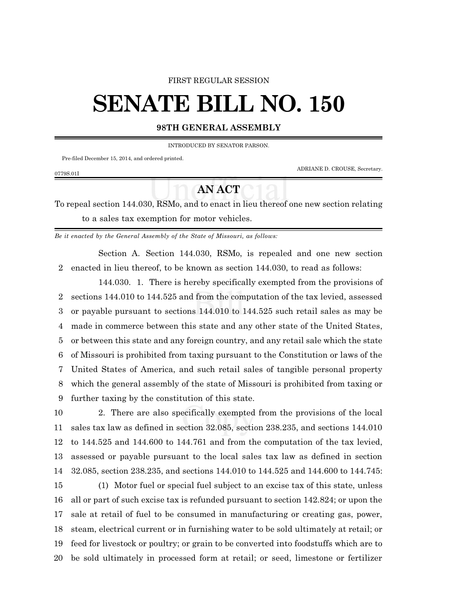#### FIRST REGULAR SESSION

# **SENATE BILL NO. 150**

### **98TH GENERAL ASSEMBLY**

INTRODUCED BY SENATOR PARSON.

Pre-filed December 15, 2014, and ordered printed.

0779S.01I

ADRIANE D. CROUSE, Secretary.

## **AN ACT**

To repeal section 144.030, RSMo, and to enact in lieu thereof one new section relating to a sales tax exemption for motor vehicles.

*Be it enacted by the General Assembly of the State of Missouri, as follows:*

Section A. Section 144.030, RSMo, is repealed and one new section enacted in lieu thereof, to be known as section 144.030, to read as follows:

144.030. 1. There is hereby specifically exempted from the provisions of sections 144.010 to 144.525 and from the computation of the tax levied, assessed or payable pursuant to sections 144.010 to 144.525 such retail sales as may be made in commerce between this state and any other state of the United States, or between this state and any foreign country, and any retail sale which the state of Missouri is prohibited from taxing pursuant to the Constitution or laws of the United States of America, and such retail sales of tangible personal property which the general assembly of the state of Missouri is prohibited from taxing or further taxing by the constitution of this state.

 2. There are also specifically exempted from the provisions of the local sales tax law as defined in section 32.085, section 238.235, and sections 144.010 to 144.525 and 144.600 to 144.761 and from the computation of the tax levied, assessed or payable pursuant to the local sales tax law as defined in section 32.085, section 238.235, and sections 144.010 to 144.525 and 144.600 to 144.745:

 (1) Motor fuel or special fuel subject to an excise tax of this state, unless all or part of such excise tax is refunded pursuant to section 142.824; or upon the sale at retail of fuel to be consumed in manufacturing or creating gas, power, steam, electrical current or in furnishing water to be sold ultimately at retail; or feed for livestock or poultry; or grain to be converted into foodstuffs which are to be sold ultimately in processed form at retail; or seed, limestone or fertilizer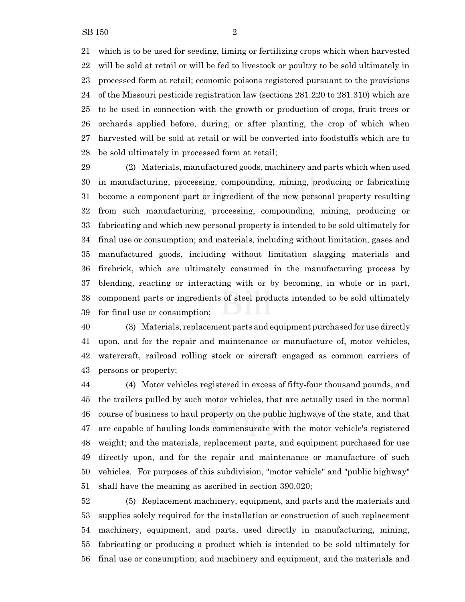which is to be used for seeding, liming or fertilizing crops which when harvested will be sold at retail or will be fed to livestock or poultry to be sold ultimately in processed form at retail; economic poisons registered pursuant to the provisions of the Missouri pesticide registration law (sections 281.220 to 281.310) which are to be used in connection with the growth or production of crops, fruit trees or orchards applied before, during, or after planting, the crop of which when harvested will be sold at retail or will be converted into foodstuffs which are to be sold ultimately in processed form at retail;

 (2) Materials, manufactured goods, machinery and parts which when used in manufacturing, processing, compounding, mining, producing or fabricating become a component part or ingredient of the new personal property resulting from such manufacturing, processing, compounding, mining, producing or fabricating and which new personal property is intended to be sold ultimately for final use or consumption; and materials, including without limitation, gases and manufactured goods, including without limitation slagging materials and firebrick, which are ultimately consumed in the manufacturing process by blending, reacting or interacting with or by becoming, in whole or in part, component parts or ingredients of steel products intended to be sold ultimately for final use or consumption;

 (3) Materials, replacement parts and equipment purchased for use directly upon, and for the repair and maintenance or manufacture of, motor vehicles, watercraft, railroad rolling stock or aircraft engaged as common carriers of persons or property;

 (4) Motor vehicles registered in excess of fifty-four thousand pounds, and the trailers pulled by such motor vehicles, that are actually used in the normal course of business to haul property on the public highways of the state, and that are capable of hauling loads commensurate with the motor vehicle's registered weight; and the materials, replacement parts, and equipment purchased for use directly upon, and for the repair and maintenance or manufacture of such vehicles. For purposes of this subdivision, "motor vehicle" and "public highway" shall have the meaning as ascribed in section 390.020;

 (5) Replacement machinery, equipment, and parts and the materials and supplies solely required for the installation or construction of such replacement machinery, equipment, and parts, used directly in manufacturing, mining, fabricating or producing a product which is intended to be sold ultimately for final use or consumption; and machinery and equipment, and the materials and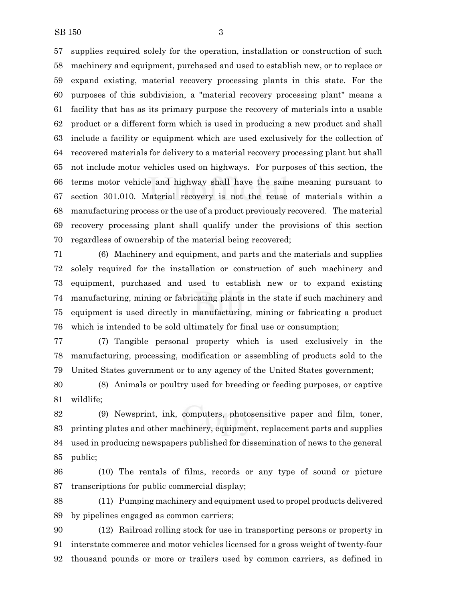supplies required solely for the operation, installation or construction of such machinery and equipment, purchased and used to establish new, or to replace or expand existing, material recovery processing plants in this state. For the purposes of this subdivision, a "material recovery processing plant" means a facility that has as its primary purpose the recovery of materials into a usable product or a different form which is used in producing a new product and shall include a facility or equipment which are used exclusively for the collection of recovered materials for delivery to a material recovery processing plant but shall not include motor vehicles used on highways. For purposes of this section, the terms motor vehicle and highway shall have the same meaning pursuant to section 301.010. Material recovery is not the reuse of materials within a manufacturing process or the use of a product previously recovered. The material recovery processing plant shall qualify under the provisions of this section regardless of ownership of the material being recovered;

 (6) Machinery and equipment, and parts and the materials and supplies solely required for the installation or construction of such machinery and equipment, purchased and used to establish new or to expand existing manufacturing, mining or fabricating plants in the state if such machinery and equipment is used directly in manufacturing, mining or fabricating a product which is intended to be sold ultimately for final use or consumption;

 (7) Tangible personal property which is used exclusively in the manufacturing, processing, modification or assembling of products sold to the United States government or to any agency of the United States government;

 (8) Animals or poultry used for breeding or feeding purposes, or captive wildlife;

 (9) Newsprint, ink, computers, photosensitive paper and film, toner, printing plates and other machinery, equipment, replacement parts and supplies used in producing newspapers published for dissemination of news to the general public;

 (10) The rentals of films, records or any type of sound or picture transcriptions for public commercial display;

 (11) Pumping machinery and equipment used to propel products delivered by pipelines engaged as common carriers;

 (12) Railroad rolling stock for use in transporting persons or property in interstate commerce and motor vehicles licensed for a gross weight of twenty-four thousand pounds or more or trailers used by common carriers, as defined in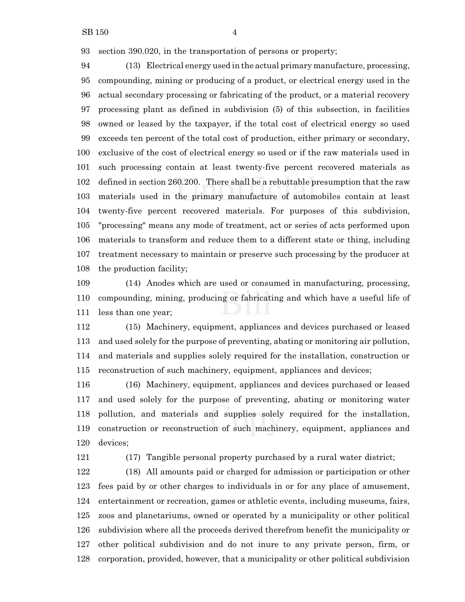section 390.020, in the transportation of persons or property;

 (13) Electrical energy used in the actual primary manufacture, processing, compounding, mining or producing of a product, or electrical energy used in the actual secondary processing or fabricating of the product, or a material recovery processing plant as defined in subdivision (5) of this subsection, in facilities owned or leased by the taxpayer, if the total cost of electrical energy so used exceeds ten percent of the total cost of production, either primary or secondary, exclusive of the cost of electrical energy so used or if the raw materials used in such processing contain at least twenty-five percent recovered materials as defined in section 260.200. There shall be a rebuttable presumption that the raw materials used in the primary manufacture of automobiles contain at least twenty-five percent recovered materials. For purposes of this subdivision, "processing" means any mode of treatment, act or series of acts performed upon materials to transform and reduce them to a different state or thing, including treatment necessary to maintain or preserve such processing by the producer at the production facility;

 (14) Anodes which are used or consumed in manufacturing, processing, compounding, mining, producing or fabricating and which have a useful life of less than one year;

 (15) Machinery, equipment, appliances and devices purchased or leased and used solely for the purpose of preventing, abating or monitoring air pollution, and materials and supplies solely required for the installation, construction or reconstruction of such machinery, equipment, appliances and devices;

 (16) Machinery, equipment, appliances and devices purchased or leased and used solely for the purpose of preventing, abating or monitoring water pollution, and materials and supplies solely required for the installation, construction or reconstruction of such machinery, equipment, appliances and devices;

(17) Tangible personal property purchased by a rural water district;

 (18) All amounts paid or charged for admission or participation or other fees paid by or other charges to individuals in or for any place of amusement, entertainment or recreation, games or athletic events, including museums, fairs, zoos and planetariums, owned or operated by a municipality or other political subdivision where all the proceeds derived therefrom benefit the municipality or other political subdivision and do not inure to any private person, firm, or corporation, provided, however, that a municipality or other political subdivision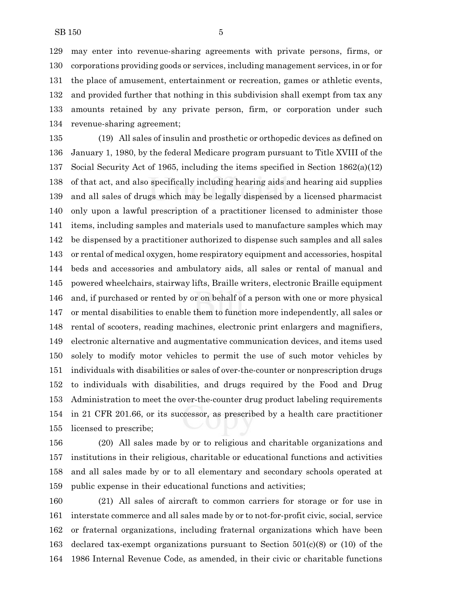may enter into revenue-sharing agreements with private persons, firms, or corporations providing goods or services, including management services, in or for the place of amusement, entertainment or recreation, games or athletic events, and provided further that nothing in this subdivision shall exempt from tax any amounts retained by any private person, firm, or corporation under such revenue-sharing agreement;

 (19) All sales of insulin and prosthetic or orthopedic devices as defined on January 1, 1980, by the federal Medicare program pursuant to Title XVIII of the Social Security Act of 1965, including the items specified in Section 1862(a)(12) of that act, and also specifically including hearing aids and hearing aid supplies and all sales of drugs which may be legally dispensed by a licensed pharmacist only upon a lawful prescription of a practitioner licensed to administer those items, including samples and materials used to manufacture samples which may be dispensed by a practitioner authorized to dispense such samples and all sales or rental of medical oxygen, home respiratory equipment and accessories, hospital beds and accessories and ambulatory aids, all sales or rental of manual and powered wheelchairs, stairway lifts, Braille writers, electronic Braille equipment and, if purchased or rented by or on behalf of a person with one or more physical or mental disabilities to enable them to function more independently, all sales or rental of scooters, reading machines, electronic print enlargers and magnifiers, electronic alternative and augmentative communication devices, and items used solely to modify motor vehicles to permit the use of such motor vehicles by individuals with disabilities or sales of over-the-counter or nonprescription drugs to individuals with disabilities, and drugs required by the Food and Drug Administration to meet the over-the-counter drug product labeling requirements in 21 CFR 201.66, or its successor, as prescribed by a health care practitioner licensed to prescribe;

 (20) All sales made by or to religious and charitable organizations and institutions in their religious, charitable or educational functions and activities and all sales made by or to all elementary and secondary schools operated at public expense in their educational functions and activities;

 (21) All sales of aircraft to common carriers for storage or for use in interstate commerce and all sales made by or to not-for-profit civic, social, service or fraternal organizations, including fraternal organizations which have been declared tax-exempt organizations pursuant to Section 501(c)(8) or (10) of the 1986 Internal Revenue Code, as amended, in their civic or charitable functions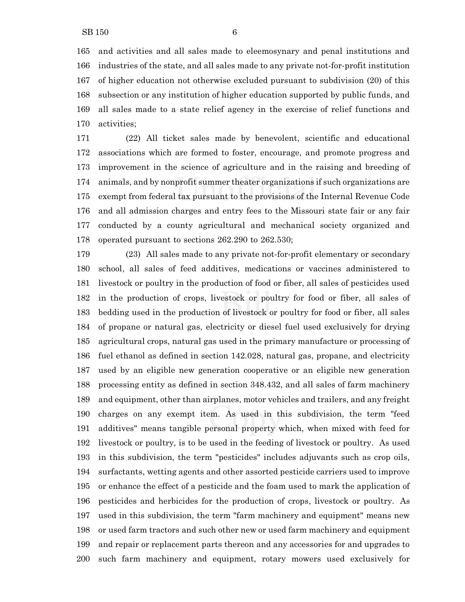and activities and all sales made to eleemosynary and penal institutions and industries of the state, and all sales made to any private not-for-profit institution of higher education not otherwise excluded pursuant to subdivision (20) of this subsection or any institution of higher education supported by public funds, and all sales made to a state relief agency in the exercise of relief functions and activities;

 (22) All ticket sales made by benevolent, scientific and educational associations which are formed to foster, encourage, and promote progress and improvement in the science of agriculture and in the raising and breeding of animals, and by nonprofit summer theater organizations if such organizations are exempt from federal tax pursuant to the provisions of the Internal Revenue Code and all admission charges and entry fees to the Missouri state fair or any fair conducted by a county agricultural and mechanical society organized and operated pursuant to sections 262.290 to 262.530;

 (23) All sales made to any private not-for-profit elementary or secondary school, all sales of feed additives, medications or vaccines administered to livestock or poultry in the production of food or fiber, all sales of pesticides used in the production of crops, livestock or poultry for food or fiber, all sales of bedding used in the production of livestock or poultry for food or fiber, all sales of propane or natural gas, electricity or diesel fuel used exclusively for drying agricultural crops, natural gas used in the primary manufacture or processing of fuel ethanol as defined in section 142.028, natural gas, propane, and electricity used by an eligible new generation cooperative or an eligible new generation processing entity as defined in section 348.432, and all sales of farm machinery and equipment, other than airplanes, motor vehicles and trailers, and any freight charges on any exempt item. As used in this subdivision, the term "feed additives" means tangible personal property which, when mixed with feed for livestock or poultry, is to be used in the feeding of livestock or poultry. As used in this subdivision, the term "pesticides" includes adjuvants such as crop oils, surfactants, wetting agents and other assorted pesticide carriers used to improve or enhance the effect of a pesticide and the foam used to mark the application of pesticides and herbicides for the production of crops, livestock or poultry. As used in this subdivision, the term "farm machinery and equipment" means new or used farm tractors and such other new or used farm machinery and equipment and repair or replacement parts thereon and any accessories for and upgrades to such farm machinery and equipment, rotary mowers used exclusively for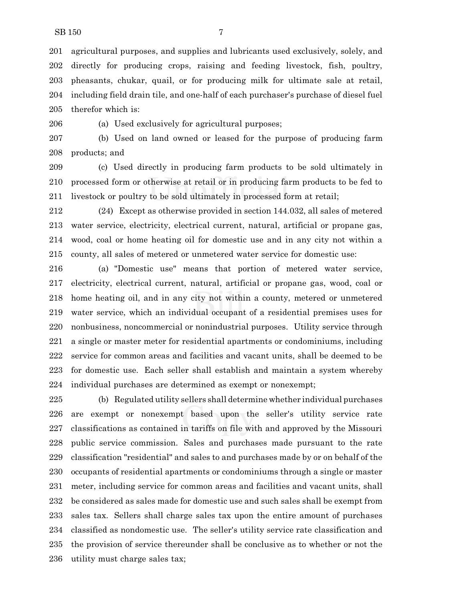agricultural purposes, and supplies and lubricants used exclusively, solely, and directly for producing crops, raising and feeding livestock, fish, poultry, pheasants, chukar, quail, or for producing milk for ultimate sale at retail, including field drain tile, and one-half of each purchaser's purchase of diesel fuel therefor which is:

(a) Used exclusively for agricultural purposes;

 (b) Used on land owned or leased for the purpose of producing farm products; and

 (c) Used directly in producing farm products to be sold ultimately in processed form or otherwise at retail or in producing farm products to be fed to livestock or poultry to be sold ultimately in processed form at retail;

 (24) Except as otherwise provided in section 144.032, all sales of metered water service, electricity, electrical current, natural, artificial or propane gas, wood, coal or home heating oil for domestic use and in any city not within a county, all sales of metered or unmetered water service for domestic use:

 (a) "Domestic use" means that portion of metered water service, electricity, electrical current, natural, artificial or propane gas, wood, coal or home heating oil, and in any city not within a county, metered or unmetered water service, which an individual occupant of a residential premises uses for nonbusiness, noncommercial or nonindustrial purposes. Utility service through a single or master meter for residential apartments or condominiums, including service for common areas and facilities and vacant units, shall be deemed to be for domestic use. Each seller shall establish and maintain a system whereby individual purchases are determined as exempt or nonexempt;

 (b) Regulated utility sellers shall determine whether individual purchases are exempt or nonexempt based upon the seller's utility service rate classifications as contained in tariffs on file with and approved by the Missouri public service commission. Sales and purchases made pursuant to the rate classification "residential" and sales to and purchases made by or on behalf of the occupants of residential apartments or condominiums through a single or master meter, including service for common areas and facilities and vacant units, shall be considered as sales made for domestic use and such sales shall be exempt from sales tax. Sellers shall charge sales tax upon the entire amount of purchases classified as nondomestic use. The seller's utility service rate classification and the provision of service thereunder shall be conclusive as to whether or not the utility must charge sales tax;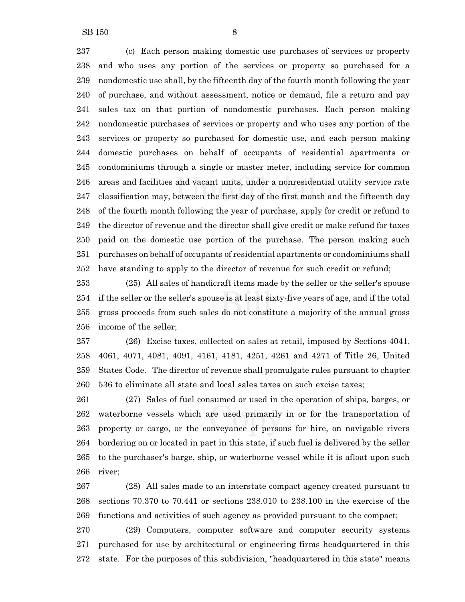(c) Each person making domestic use purchases of services or property and who uses any portion of the services or property so purchased for a nondomestic use shall, by the fifteenth day of the fourth month following the year of purchase, and without assessment, notice or demand, file a return and pay sales tax on that portion of nondomestic purchases. Each person making nondomestic purchases of services or property and who uses any portion of the services or property so purchased for domestic use, and each person making domestic purchases on behalf of occupants of residential apartments or condominiums through a single or master meter, including service for common areas and facilities and vacant units, under a nonresidential utility service rate classification may, between the first day of the first month and the fifteenth day of the fourth month following the year of purchase, apply for credit or refund to the director of revenue and the director shall give credit or make refund for taxes paid on the domestic use portion of the purchase. The person making such purchases on behalf of occupants of residential apartments or condominiums shall have standing to apply to the director of revenue for such credit or refund;

 (25) All sales of handicraft items made by the seller or the seller's spouse if the seller or the seller's spouse is at least sixty-five years of age, and if the total gross proceeds from such sales do not constitute a majority of the annual gross income of the seller;

 (26) Excise taxes, collected on sales at retail, imposed by Sections 4041, 4061, 4071, 4081, 4091, 4161, 4181, 4251, 4261 and 4271 of Title 26, United States Code. The director of revenue shall promulgate rules pursuant to chapter 536 to eliminate all state and local sales taxes on such excise taxes;

 (27) Sales of fuel consumed or used in the operation of ships, barges, or waterborne vessels which are used primarily in or for the transportation of property or cargo, or the conveyance of persons for hire, on navigable rivers bordering on or located in part in this state, if such fuel is delivered by the seller to the purchaser's barge, ship, or waterborne vessel while it is afloat upon such river;

 (28) All sales made to an interstate compact agency created pursuant to sections 70.370 to 70.441 or sections 238.010 to 238.100 in the exercise of the functions and activities of such agency as provided pursuant to the compact;

 (29) Computers, computer software and computer security systems purchased for use by architectural or engineering firms headquartered in this state. For the purposes of this subdivision, "headquartered in this state" means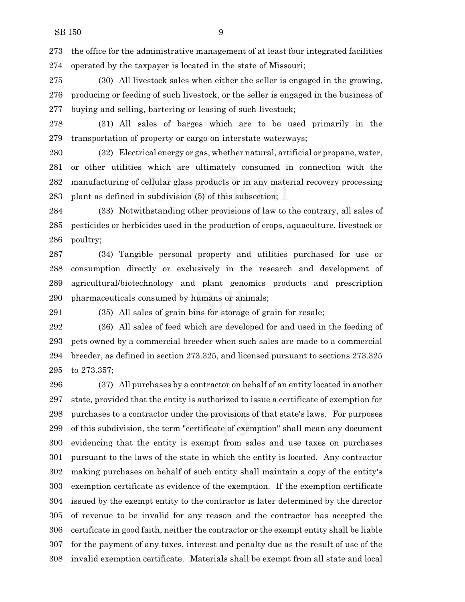the office for the administrative management of at least four integrated facilities operated by the taxpayer is located in the state of Missouri;

 (30) All livestock sales when either the seller is engaged in the growing, producing or feeding of such livestock, or the seller is engaged in the business of buying and selling, bartering or leasing of such livestock;

 (31) All sales of barges which are to be used primarily in the transportation of property or cargo on interstate waterways;

 (32) Electrical energy or gas, whether natural, artificial or propane, water, or other utilities which are ultimately consumed in connection with the manufacturing of cellular glass products or in any material recovery processing plant as defined in subdivision (5) of this subsection;

 (33) Notwithstanding other provisions of law to the contrary, all sales of pesticides or herbicides used in the production of crops, aquaculture, livestock or poultry;

 (34) Tangible personal property and utilities purchased for use or consumption directly or exclusively in the research and development of agricultural/biotechnology and plant genomics products and prescription pharmaceuticals consumed by humans or animals;

(35) All sales of grain bins for storage of grain for resale;

 (36) All sales of feed which are developed for and used in the feeding of pets owned by a commercial breeder when such sales are made to a commercial breeder, as defined in section 273.325, and licensed pursuant to sections 273.325 to 273.357;

 (37) All purchases by a contractor on behalf of an entity located in another state, provided that the entity is authorized to issue a certificate of exemption for purchases to a contractor under the provisions of that state's laws. For purposes of this subdivision, the term "certificate of exemption" shall mean any document evidencing that the entity is exempt from sales and use taxes on purchases pursuant to the laws of the state in which the entity is located. Any contractor making purchases on behalf of such entity shall maintain a copy of the entity's exemption certificate as evidence of the exemption. If the exemption certificate issued by the exempt entity to the contractor is later determined by the director of revenue to be invalid for any reason and the contractor has accepted the certificate in good faith, neither the contractor or the exempt entity shall be liable for the payment of any taxes, interest and penalty due as the result of use of the invalid exemption certificate. Materials shall be exempt from all state and local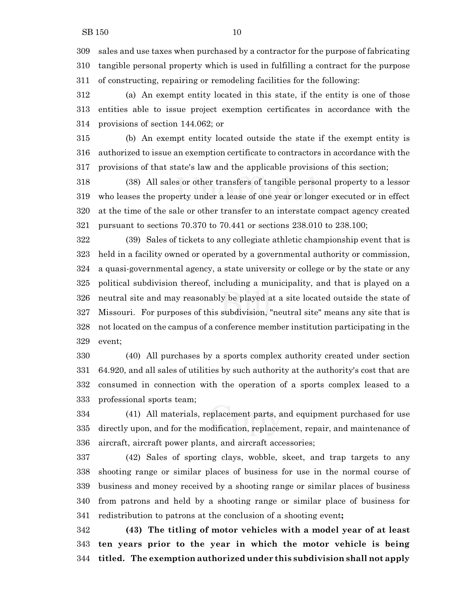sales and use taxes when purchased by a contractor for the purpose of fabricating tangible personal property which is used in fulfilling a contract for the purpose of constructing, repairing or remodeling facilities for the following:

 (a) An exempt entity located in this state, if the entity is one of those entities able to issue project exemption certificates in accordance with the provisions of section 144.062; or

 (b) An exempt entity located outside the state if the exempt entity is authorized to issue an exemption certificate to contractors in accordance with the provisions of that state's law and the applicable provisions of this section;

 (38) All sales or other transfers of tangible personal property to a lessor who leases the property under a lease of one year or longer executed or in effect at the time of the sale or other transfer to an interstate compact agency created pursuant to sections 70.370 to 70.441 or sections 238.010 to 238.100;

 (39) Sales of tickets to any collegiate athletic championship event that is held in a facility owned or operated by a governmental authority or commission, a quasi-governmental agency, a state university or college or by the state or any political subdivision thereof, including a municipality, and that is played on a neutral site and may reasonably be played at a site located outside the state of Missouri. For purposes of this subdivision, "neutral site" means any site that is not located on the campus of a conference member institution participating in the event;

 (40) All purchases by a sports complex authority created under section 64.920, and all sales of utilities by such authority at the authority's cost that are consumed in connection with the operation of a sports complex leased to a professional sports team;

 (41) All materials, replacement parts, and equipment purchased for use directly upon, and for the modification, replacement, repair, and maintenance of aircraft, aircraft power plants, and aircraft accessories;

 (42) Sales of sporting clays, wobble, skeet, and trap targets to any shooting range or similar places of business for use in the normal course of business and money received by a shooting range or similar places of business from patrons and held by a shooting range or similar place of business for redistribution to patrons at the conclusion of a shooting event**;**

 **(43) The titling of motor vehicles with a model year of at least ten years prior to the year in which the motor vehicle is being titled. The exemption authorized under this subdivision shall not apply**